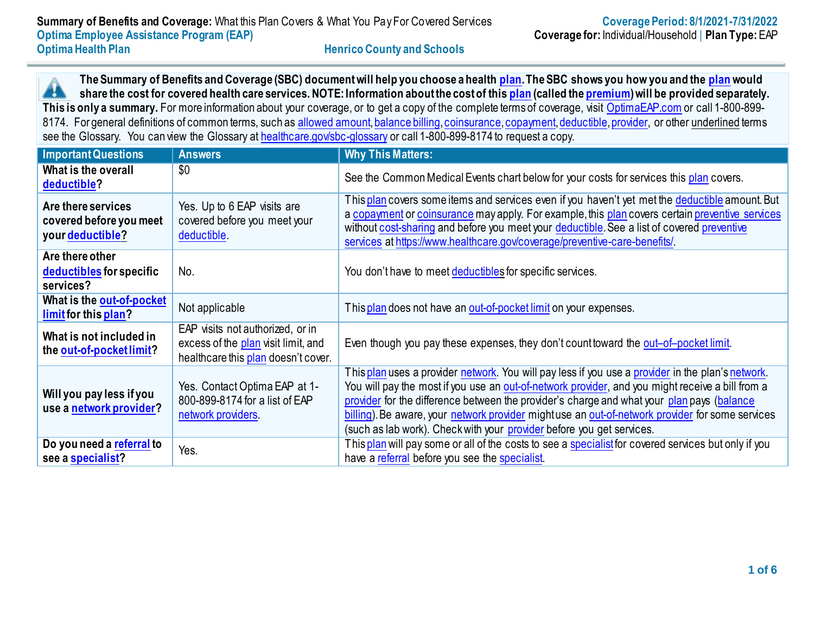**The Summary of Benefits and Coverage (SBC) document will help you choose a health [plan.](https://www.healthcare.gov/sbc-glossary/#plan) The SBC shows you how you and the [plan](https://www.healthcare.gov/sbc-glossary/#plan) would** 44 **share the cost for covered health care services. NOTE: Information about the cost of thi[s plan](https://www.healthcare.gov/sbc-glossary/#plan) (called th[e premium\)](https://www.healthcare.gov/sbc-glossary/#premium) will be provided separately.** This is only a summary. For more information about your coverage, or to get a copy of the complete terms of coverage, visit [OptimaEAP.com](http://www.optimaeap.com/) or call 1-800-8998174. For general definitions of common terms, such as [allowed amount](https://www.healthcare.gov/sbc-glossary/#allowed-amount)[, balance billing](https://www.healthcare.gov/sbc-glossary/#balance-billing)[, coinsurance](https://www.healthcare.gov/sbc-glossary/#coinsurance)[, copayment](https://www.healthcare.gov/sbc-glossary/#copayment)[, deductible](https://www.healthcare.gov/sbc-glossary/#deductible)[, provider,](https://www.healthcare.gov/sbc-glossary/#provider) or other underlined terms see the Glossary. You can view the Glossary at [healthcare.gov/sbc-glossary](https://www.healthcare.gov/sbc-glossary/) or call 1-800-899-8174 to request a copy.

| <b>Important Questions</b>                                        | <b>Answers</b>                                                                                                 | <b>Why This Matters:</b>                                                                                                                                                                                                                                                                                                                                                                                                                                                         |  |
|-------------------------------------------------------------------|----------------------------------------------------------------------------------------------------------------|----------------------------------------------------------------------------------------------------------------------------------------------------------------------------------------------------------------------------------------------------------------------------------------------------------------------------------------------------------------------------------------------------------------------------------------------------------------------------------|--|
| What is the overall<br>deductible?                                | \$0                                                                                                            | See the Common Medical Events chart below for your costs for services this plan covers.                                                                                                                                                                                                                                                                                                                                                                                          |  |
| Are there services<br>covered before you meet<br>your deductible? | Yes. Up to 6 EAP visits are<br>covered before you meet your<br>deductible.                                     | This plan covers some items and services even if you haven't yet met the deductible amount. But<br>a copayment or coinsurance may apply. For example, this plan covers certain preventive services<br>without cost-sharing and before you meet your deductible. See a list of covered preventive<br>services at https://www.healthcare.gov/coverage/preventive-care-benefits/.                                                                                                   |  |
| Are there other<br>deductibles for specific<br>services?          | No.                                                                                                            | You don't have to meet deductibles for specific services.                                                                                                                                                                                                                                                                                                                                                                                                                        |  |
| What is the out-of-pocket<br>limit for this plan?                 | Not applicable                                                                                                 | This plan does not have an out-of-pocket limit on your expenses.                                                                                                                                                                                                                                                                                                                                                                                                                 |  |
| What is not included in<br>the out-of-pocket limit?               | EAP visits not authorized, or in<br>excess of the plan visit limit, and<br>healthcare this plan doesn't cover. | Even though you pay these expenses, they don't count toward the out-of-pocket limit.                                                                                                                                                                                                                                                                                                                                                                                             |  |
| Will you pay less if you<br>use a network provider?               | Yes. Contact Optima EAP at 1-<br>800-899-8174 for a list of EAP<br>network providers.                          | This plan uses a provider network. You will pay less if you use a provider in the plan's network.<br>You will pay the most if you use an out-of-network provider, and you might receive a bill from a<br>provider for the difference between the provider's charge and what your plan pays (balance<br>billing). Be aware, your network provider might use an out-of-network provider for some services<br>(such as lab work). Check with your provider before you get services. |  |
| Do you need a referral to<br>see a specialist?                    | Yes.                                                                                                           | This plan will pay some or all of the costs to see a specialist for covered services but only if you<br>have a referral before you see the specialist.                                                                                                                                                                                                                                                                                                                           |  |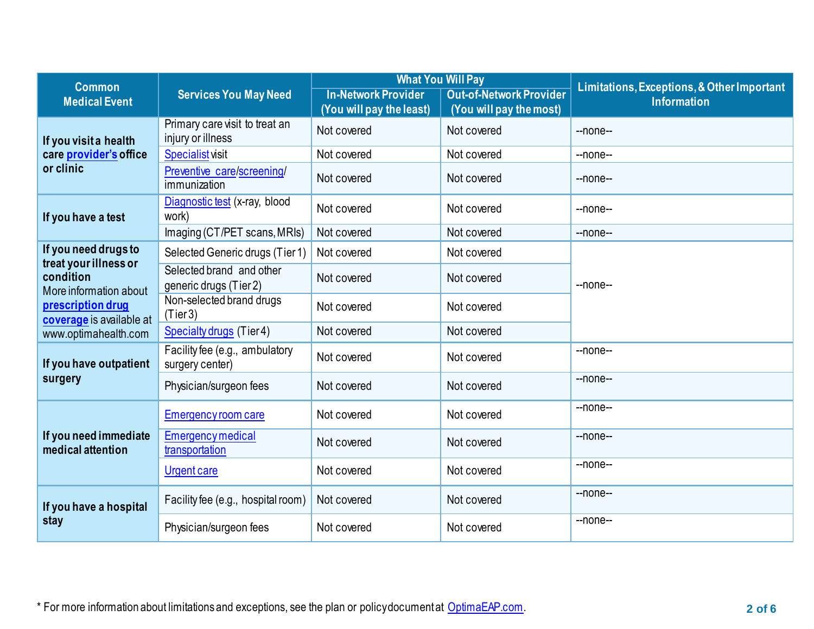| <b>Common</b>                                                                        |                                                     | <b>What You Will Pay</b>   |                                | Limitations, Exceptions, & Other Important |  |
|--------------------------------------------------------------------------------------|-----------------------------------------------------|----------------------------|--------------------------------|--------------------------------------------|--|
| <b>Medical Event</b>                                                                 | <b>Services You May Need</b>                        | <b>In-Network Provider</b> | <b>Out-of-Network Provider</b> | <b>Information</b>                         |  |
|                                                                                      |                                                     | (You will pay the least)   | (You will pay the most)        |                                            |  |
| If you visit a health                                                                | Primary care visit to treat an<br>injury or illness | Not covered                | Not covered                    | $-$ none $-$                               |  |
| care provider's office                                                               | <b>Specialist visit</b>                             | Not covered                | Not covered                    | --none--                                   |  |
| or clinic                                                                            | Preventive care/screening/<br>immunization          | Not covered                | Not covered                    | --none--                                   |  |
| If you have a test                                                                   | Diagnostic test (x-ray, blood<br>work)              | Not covered                | Not covered                    | --none--                                   |  |
|                                                                                      | Imaging (CT/PET scans, MRIs)                        | Not covered                | Not covered                    | $-$ none $-$                               |  |
| If you need drugs to<br>treat your illness or                                        | Selected Generic drugs (Tier 1)                     | Not covered                | Not covered                    |                                            |  |
| condition<br>More information about<br>prescription drug<br>coverage is available at | Selected brand and other<br>generic drugs (Tier 2)  | Not covered                | Not covered                    | --none--                                   |  |
|                                                                                      | Non-selected brand drugs<br>(Tier3)                 | Not covered                | Not covered                    |                                            |  |
| www.optimahealth.com                                                                 | Specialty drugs (Tier 4)                            | Not covered                | Not covered                    |                                            |  |
| If you have outpatient                                                               | Facility fee (e.g., ambulatory<br>surgery center)   | Not covered                | Not covered                    | --none--                                   |  |
| surgery                                                                              | Physician/surgeon fees                              | Not covered                | Not covered                    | $-$ none $-$                               |  |
|                                                                                      | Emergency room care                                 | Not covered                | Not covered                    | --none--                                   |  |
| If you need immediate<br>medical attention                                           | <b>Emergency medical</b><br>transportation          | Not covered                | Not covered                    | --none--                                   |  |
|                                                                                      | <b>Urgent care</b>                                  | Not covered                | Not covered                    | --none--                                   |  |
| If you have a hospital<br>stay                                                       | Facility fee (e.g., hospital room)                  | Not covered                | Not covered                    | --none--                                   |  |
|                                                                                      | Physician/surgeon fees                              | Not covered                | Not covered                    | --none--                                   |  |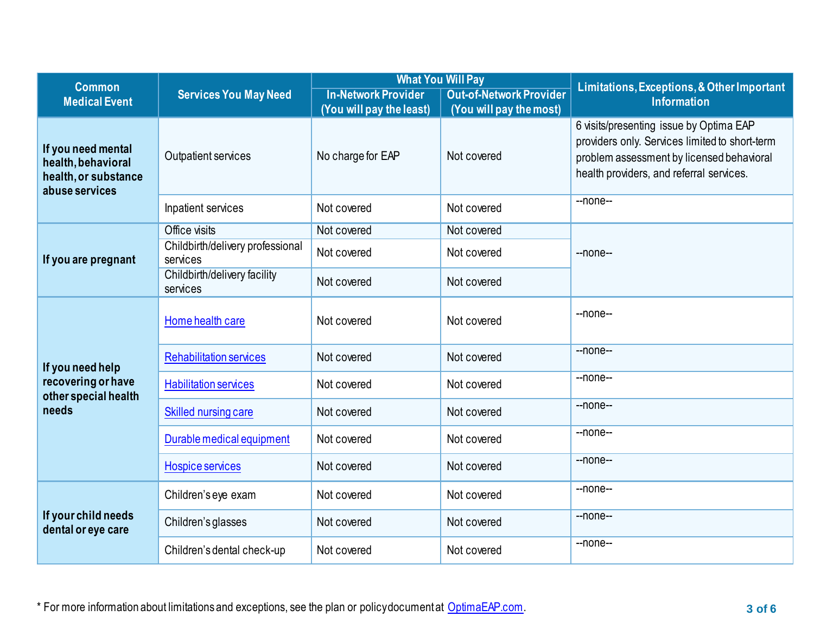| <b>Common</b>                                                                      |                                              | <b>What You Will Pay</b>   |                                | Limitations, Exceptions, & Other Important                                                                                                                                         |  |
|------------------------------------------------------------------------------------|----------------------------------------------|----------------------------|--------------------------------|------------------------------------------------------------------------------------------------------------------------------------------------------------------------------------|--|
| <b>Medical Event</b>                                                               | <b>Services You May Need</b>                 | <b>In-Network Provider</b> | <b>Out-of-Network Provider</b> | <b>Information</b>                                                                                                                                                                 |  |
|                                                                                    |                                              | (You will pay the least)   | (You will pay the most)        |                                                                                                                                                                                    |  |
| If you need mental<br>health, behavioral<br>health, or substance<br>abuse services | Outpatient services                          | No charge for EAP          | Not covered                    | 6 visits/presenting issue by Optima EAP<br>providers only. Services limited to short-term<br>problem assessment by licensed behavioral<br>health providers, and referral services. |  |
|                                                                                    | Inpatient services                           | Not covered                | Not covered                    | --none--                                                                                                                                                                           |  |
|                                                                                    | Office visits                                | Not covered                | Not covered                    |                                                                                                                                                                                    |  |
| If you are pregnant                                                                | Childbirth/delivery professional<br>services | Not covered                | Not covered                    | --none--                                                                                                                                                                           |  |
|                                                                                    | Childbirth/delivery facility<br>services     | Not covered                | Not covered                    |                                                                                                                                                                                    |  |
|                                                                                    | Home health care                             | Not covered                | Not covered                    | $-$ none $-$                                                                                                                                                                       |  |
| If you need help                                                                   | <b>Rehabilitation services</b>               | Not covered                | Not covered                    | --none--                                                                                                                                                                           |  |
| recovering or have<br>other special health<br>needs                                | <b>Habilitation services</b>                 | Not covered                | Not covered                    | $-$ none $-$                                                                                                                                                                       |  |
|                                                                                    | Skilled nursing care                         | Not covered                | Not covered                    | --none--                                                                                                                                                                           |  |
|                                                                                    | Durable medical equipment                    | Not covered                | Not covered                    | --none--                                                                                                                                                                           |  |
|                                                                                    | <b>Hospice services</b>                      | Not covered                | Not covered                    | --none--                                                                                                                                                                           |  |
| If your child needs<br>dental or eye care                                          | Children's eye exam                          | Not covered                | Not covered                    | $-$ none $-$                                                                                                                                                                       |  |
|                                                                                    | Children's glasses                           | Not covered                | Not covered                    | --none--                                                                                                                                                                           |  |
|                                                                                    | Children's dental check-up                   | Not covered                | Not covered                    | --none--                                                                                                                                                                           |  |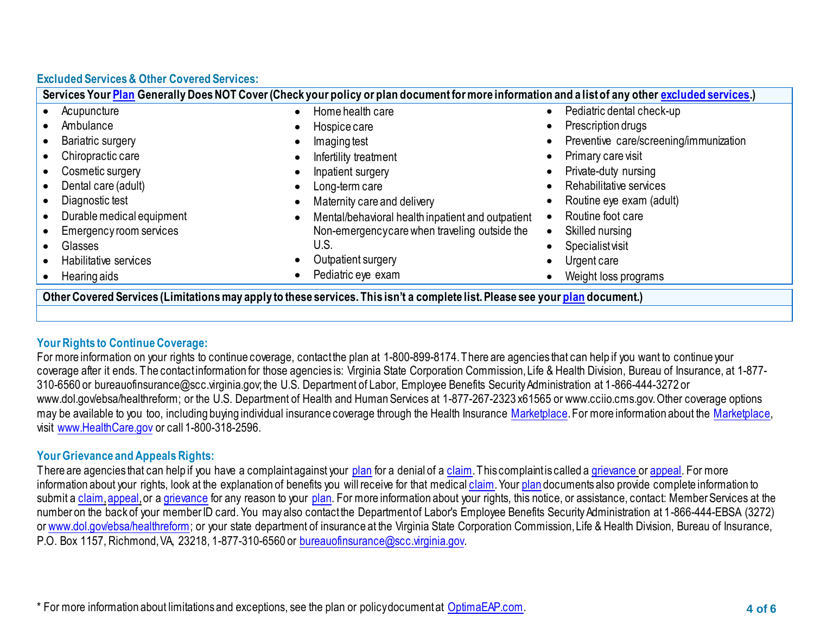# **Excluded Services & Other Covered Services:**

| Services Your Plan Generally Does NOT Cover (Check your policy or plan document for more information and a list of any other excluded services.) |                                                   |                                        |  |
|--------------------------------------------------------------------------------------------------------------------------------------------------|---------------------------------------------------|----------------------------------------|--|
| Acupuncture                                                                                                                                      | Home health care                                  | Pediatric dental check-up              |  |
| Ambulance                                                                                                                                        | Hospice care                                      | Prescription drugs                     |  |
| Bariatric surgery                                                                                                                                | Imaging test                                      | Preventive care/screening/immunization |  |
| Chiropractic care                                                                                                                                | Infertility treatment                             | Primary care visit                     |  |
| Cosmetic surgery                                                                                                                                 | Inpatient surgery                                 | Private-duty nursing                   |  |
| Dental care (adult)                                                                                                                              | Long-term care                                    | Rehabilitative services                |  |
| Diagnostic test                                                                                                                                  | Maternity care and delivery                       | Routine eye exam (adult)               |  |
| Durable medical equipment                                                                                                                        | Mental/behavioral health inpatient and outpatient | Routine foot care                      |  |
| Emergency room services                                                                                                                          | Non-emergencycare when traveling outside the      | Skilled nursing                        |  |
| Glasses                                                                                                                                          | U.S.                                              | <b>Specialist visit</b>                |  |
| Habilitative services                                                                                                                            | Outpatient surgery                                | Urgent care                            |  |
| Hearing aids                                                                                                                                     | Pediatric eye exam                                | Weight loss programs                   |  |
| Other Covered Services (Limitations may apply to these services. This isn't a complete list. Please see your plan document.)                     |                                                   |                                        |  |

## **Your Rights to Continue Coverage:**

For more information on your rights to continue coverage, contact the plan at 1-800-899-8174. There are agencies that can help if you want to continue your coverage after it ends. The contact information for those agencies is: Virginia State Corporation Commission, Life & Health Division, Bureau of Insurance, at 1-877- 310-6560 or bureauofinsurance@scc.virginia.gov; the U.S. Department of Labor, Employee Benefits Security Administration at 1-866-444-3272 or www.dol.gov/ebsa/healthreform; or the U.S. Department of Health and Human Services at 1-877-267-2323 x61565 or www.cciio.cms.gov. Other coverage options may be available to you too, including buying individual insurance coverage through the Health Insurance [Marketplace](https://www.healthcare.gov/sbc-glossary/#marketplace). For more information about the Marketplace, visit [www.HealthCare.gov](http://www.healthcare.gov/) or call 1-800-318-2596.

## **Your Grievance and Appeals Rights:**

There are agencies that can help if you have a complaint against your [plan](https://www.healthcare.gov/sbc-glossary/#plan) for a denial of [a claim.](https://www.healthcare.gov/sbc-glossary/#claim) This complaint is called a [grievance](https://www.healthcare.gov/sbc-glossary/#grievance) o[r appeal.](https://www.healthcare.gov/sbc-glossary/#appeal) For more information about your rights, look at the explanation of benefits you will receive for that medica[l claim](https://www.healthcare.gov/sbc-glossary/#claim). You[r plan](https://www.healthcare.gov/sbc-glossary/#plan) documents also provide complete information to submit a [claim](https://www.healthcare.gov/sbc-glossary/#claim), appeal, or a [grievance](https://www.healthcare.gov/sbc-glossary/#grievance) for any reason to your [plan.](https://www.healthcare.gov/sbc-glossary/#plan) For more information about your rights, this notice, or assistance, contact: Member Services at the number on the back of your member ID card. You may also contact the Department of Labor's Employee Benefits Security Administration at 1-866-444-EBSA (3272) or [www.dol.gov/ebsa/healthreform;](http://www.dol.gov/ebsa/healthreform) or your state department of insurance at the Virginia State Corporation Commission, Life & Health Division, Bureau of Insurance, P.O. Box 1157, Richmond, VA, 23218, 1-877-310-6560 or [bureauofinsurance@scc.virginia.gov.](mailto:bureauofinsurance@scc.virginia.gov)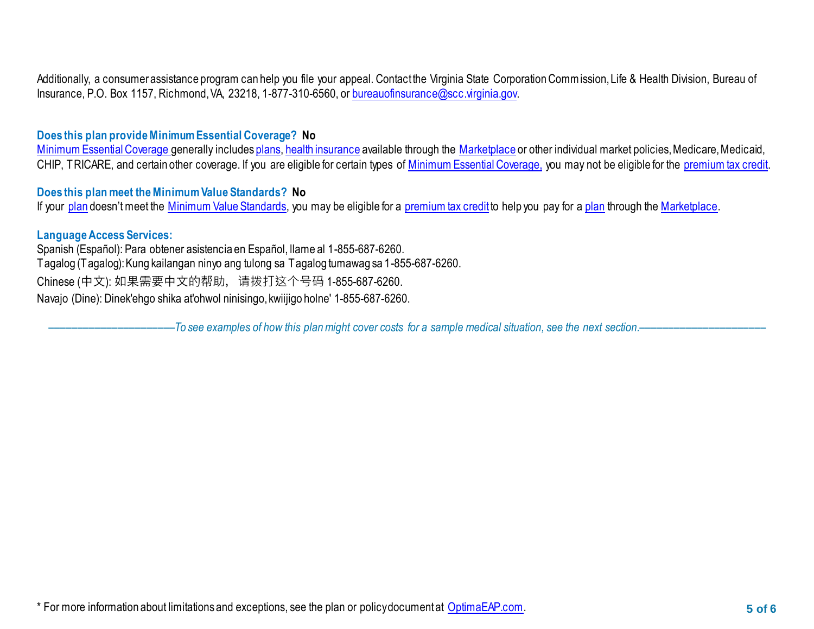Additionally, a consumer assistance program can help you file your appeal. Contact the Virginia State Corporation Commission, Life & Health Division, Bureau of Insurance, P.O. Box 1157, Richmond, VA, 23218, 1-877-310-6560, o[r bureauofinsurance@scc.virginia.gov.](mailto:bureauofinsurance@scc.virginia.gov)

## **Does this plan provide Minimum Essential Coverage? No**

[Minimum Essential Coverage g](https://www.healthcare.gov/sbc-glossary/#minimum-essential-coverage)enerally include[s plans,](https://www.healthcare.gov/sbc-glossary/#plan) [health insurance](https://www.healthcare.gov/sbc-glossary/#health-insurance) available through the [Marketplace](https://www.healthcare.gov/sbc-glossary/#marketplace) or other individual market policies, Medicare, Medicaid, CHIP, TRICARE, and certain other coverage. If you are eligible for certain types of [Minimum Essential Coverage,](https://www.healthcare.gov/sbc-glossary/#minimum-essential-coverage) you may not be eligible for the [premium tax credit.](https://www.healthcare.gov/sbc-glossary/#premium-tax-credits)

## **Does this plan meet the Minimum Value Standards? No**

If your [plan](https://www.healthcare.gov/sbc-glossary/#plan) doesn't meet the [Minimum Value Standards,](https://www.healthcare.gov/sbc-glossary/#minimum-value-standard) you may be eligible for a [premium tax credit](https://www.healthcare.gov/sbc-glossary/#premium-tax-credits) to help you pay for a plan through th[e Marketplace.](https://www.healthcare.gov/sbc-glossary/#marketplace)

### **Language Access Services:**

Spanish (Español): Para obtener asistencia en Español, llame al 1-855-687-6260. Tagalog (Tagalog): Kung kailangan ninyo ang tulong sa Tagalog tumawag sa 1-855-687-6260. Chinese (中文): 如果需要中文的帮助,请拨打这个号码 1-855-687-6260. Navajo (Dine): Dinek'ehgo shika at'ohwol ninisingo, kwiijigo holne' 1-855-687-6260.

––––––––––––––––––––––*To see examples of how this plan might cover costs for a sample medical situation, see the next section.–––––––––––*–––––––––––